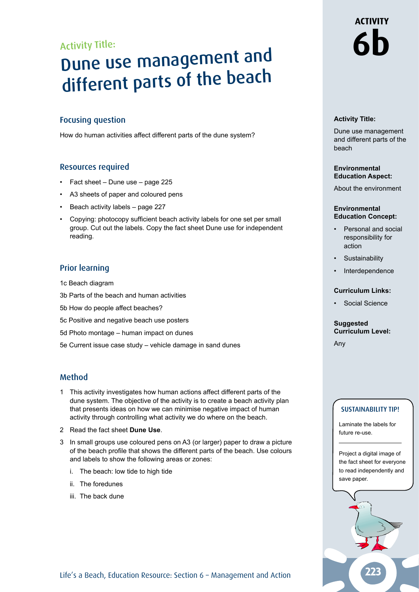## Activity Title:

## Dune use management and different parts of the beach

#### Focusing question

How do human activities affect different parts of the dune system?

#### Resources required

- Fact sheet Dune use page 225
- A3 sheets of paper and coloured pens
- Beach activity labels page 227
- Copying: photocopy sufficient beach activity labels for one set per small group. Cut out the labels. Copy the fact sheet Dune use for independent reading.

#### Prior learning

- 1c Beach diagram
- 3b Parts of the beach and human activities
- 5b How do people affect beaches?
- 5c Positive and negative beach use posters
- 5d Photo montage human impact on dunes
- 5e Current issue case study vehicle damage in sand dunes

#### Method

- 1 This activity investigates how human actions affect different parts of the dune system. The objective of the activity is to create a beach activity plan that presents ideas on how we can minimise negative impact of human activity through controlling what activity we do where on the beach.
- 2 Read the fact sheet **Dune Use**.
- 3 In small groups use coloured pens on A3 (or larger) paper to draw a picture of the beach profile that shows the different parts of the beach. Use colours and labels to show the following areas or zones:
	- i. The beach: low tide to high tide
	- ii. The foredunes
	- iii. The back dune

# **ACTIVITY 6b**

#### **Activity Title:**

Dune use management and different parts of the beach

#### **Environmental Education Aspect:**

About the environment

#### **Environmental Education Concept:**

- Personal and social responsibility for action
- **Sustainability**
- **Interdependence**

#### **Curriculum Links:**

Social Science

#### **Suggested Curriculum Level:**

Any

#### SUSTAINABILITY TIP!

Laminate the labels for future re-use.

Project a digital image of the fact sheet for everyone to read independently and save paper.

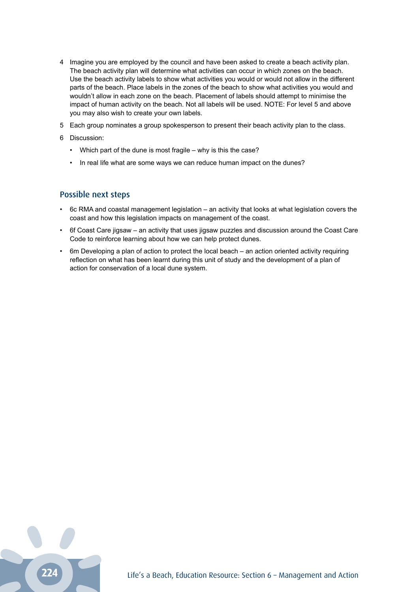- 4 Imagine you are employed by the council and have been asked to create a beach activity plan. The beach activity plan will determine what activities can occur in which zones on the beach. Use the beach activity labels to show what activities you would or would not allow in the different parts of the beach. Place labels in the zones of the beach to show what activities you would and wouldn't allow in each zone on the beach. Placement of labels should attempt to minimise the impact of human activity on the beach. Not all labels will be used. NOTE: For level 5 and above you may also wish to create your own labels.
- 5 Each group nominates a group spokesperson to present their beach activity plan to the class.
- 6 Discussion:
	- Which part of the dune is most fragile why is this the case?
	- In real life what are some ways we can reduce human impact on the dunes?

#### Possible next steps

- 6c RMA and coastal management legislation an activity that looks at what legislation covers the coast and how this legislation impacts on management of the coast.
- 6f Coast Care jigsaw an activity that uses jigsaw puzzles and discussion around the Coast Care Code to reinforce learning about how we can help protect dunes.
- 6m Developing a plan of action to protect the local beach an action oriented activity requiring reflection on what has been learnt during this unit of study and the development of a plan of action for conservation of a local dune system.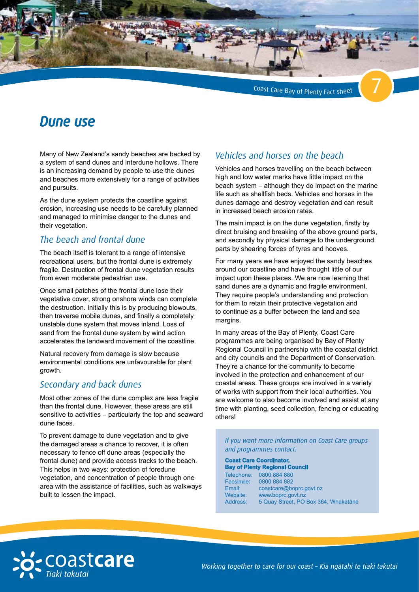

Coast Care Bay of Plenty Fact sheet

## *Dune use*

Many of New Zealand's sandy beaches are backed by a system of sand dunes and interdune hollows. There is an increasing demand by people to use the dunes and beaches more extensively for a range of activities and pursuits.

As the dune system protects the coastline against erosion, increasing use needs to be carefully planned and managed to minimise danger to the dunes and their vegetation.

#### *The beach and frontal dune*

The beach itself is tolerant to a range of intensive recreational users, but the frontal dune is extremely fragile. Destruction of frontal dune vegetation results from even moderate pedestrian use.

Once small patches of the frontal dune lose their vegetative cover, strong onshore winds can complete the destruction. Initially this is by producing blowouts, then traverse mobile dunes, and finally a completely unstable dune system that moves inland. Loss of sand from the frontal dune system by wind action accelerates the landward movement of the coastline.

Natural recovery from damage is slow because environmental conditions are unfavourable for plant growth.

## *Secondary and back dunes*

Most other zones of the dune complex are less fragile than the frontal dune. However, these areas are still sensitive to activities – particularly the top and seaward dune faces.

To prevent damage to dune vegetation and to give the damaged areas a chance to recover, it is often necessary to fence off dune areas (especially the frontal dune) and provide access tracks to the beach. This helps in two ways: protection of foredune vegetation, and concentration of people through one area with the assistance of facilities, such as walkways built to lessen the impact.

### *Vehicles and horses on the beach*

Vehicles and horses travelling on the beach between high and low water marks have little impact on the beach system – although they do impact on the marine life such as shellfish beds. Vehicles and horses in the dunes damage and destroy vegetation and can result in increased beach erosion rates.

The main impact is on the dune vegetation, firstly by direct bruising and breaking of the above ground parts, and secondly by physical damage to the underground parts by shearing forces of tyres and hooves.

For many years we have enjoyed the sandy beaches around our coastline and have thought little of our impact upon these places. We are now learning that sand dunes are a dynamic and fragile environment. They require people's understanding and protection for them to retain their protective vegetation and to continue as a buffer between the land and sea margins.

In many areas of the Bay of Plenty, Coast Care programmes are being organised by Bay of Plenty Regional Council in partnership with the coastal district and city councils and the Department of Conservation. They're a chance for the community to become involved in the protection and enhancement of our coastal areas. These groups are involved in a variety of works with support from their local authorities. You are welcome to also become involved and assist at any time with planting, seed collection, fencing or educating others!

*If you want more information on Coast Care groups and programmes contact:*

#### **Coast Care Coordinator,**

| <b>Bay of Plenty Regional Council</b> |                                      |  |  |  |
|---------------------------------------|--------------------------------------|--|--|--|
|                                       | Telephone: 0800 884 880              |  |  |  |
| Facsimile:                            | 0800 884 882                         |  |  |  |
| Email:                                | coastcare@boprc.govt.nz              |  |  |  |
| Website:                              | www.boprc.govt.nz                    |  |  |  |
| Address:                              | 5 Quay Street, PO Box 364, Whakatāne |  |  |  |

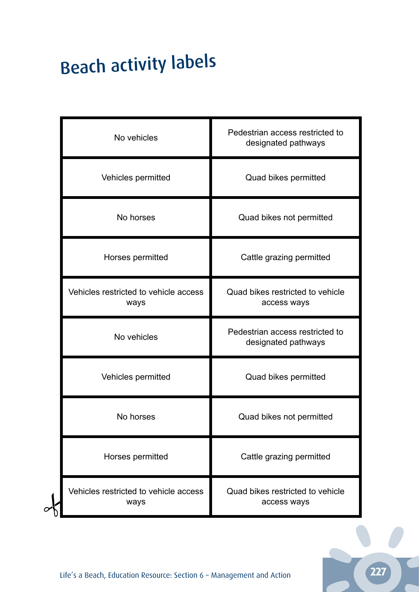# Beach activity labels

|  | No vehicles                                   | Pedestrian access restricted to<br>designated pathways |
|--|-----------------------------------------------|--------------------------------------------------------|
|  | Vehicles permitted                            | Quad bikes permitted                                   |
|  | No horses                                     | Quad bikes not permitted                               |
|  | Horses permitted                              | Cattle grazing permitted                               |
|  | Vehicles restricted to vehicle access<br>ways | Quad bikes restricted to vehicle<br>access ways        |
|  | No vehicles                                   | Pedestrian access restricted to<br>designated pathways |
|  | Vehicles permitted                            | Quad bikes permitted                                   |
|  | No horses                                     | Quad bikes not permitted                               |
|  | Horses permitted                              | Cattle grazing permitted                               |
|  | Vehicles restricted to vehicle access<br>ways | Quad bikes restricted to vehicle<br>access ways        |